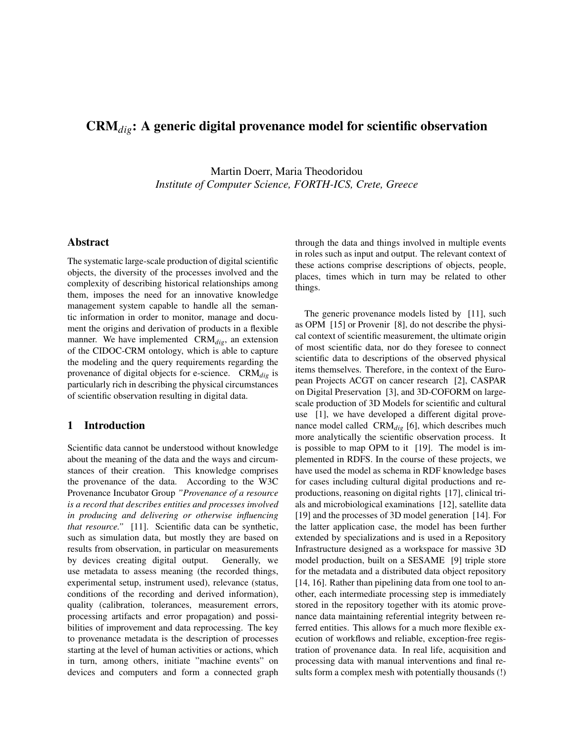# CRM*dig*: A generic digital provenance model for scientific observation

Martin Doerr, Maria Theodoridou *Institute of Computer Science, FORTH-ICS, Crete, Greece*

## Abstract

The systematic large-scale production of digital scientific objects, the diversity of the processes involved and the complexity of describing historical relationships among them, imposes the need for an innovative knowledge management system capable to handle all the semantic information in order to monitor, manage and document the origins and derivation of products in a flexible manner. We have implemented CRM*dig*, an extension of the CIDOC-CRM ontology, which is able to capture the modeling and the query requirements regarding the provenance of digital objects for e-science. CRM*dig* is particularly rich in describing the physical circumstances of scientific observation resulting in digital data.

#### 1 Introduction

Scientific data cannot be understood without knowledge about the meaning of the data and the ways and circumstances of their creation. This knowledge comprises the provenance of the data. According to the W3C Provenance Incubator Group *"Provenance of a resource is a record that describes entities and processes involved in producing and delivering or otherwise influencing that resource."* [11]. Scientific data can be synthetic, such as simulation data, but mostly they are based on results from observation, in particular on measurements by devices creating digital output. Generally, we use metadata to assess meaning (the recorded things, experimental setup, instrument used), relevance (status, conditions of the recording and derived information), quality (calibration, tolerances, measurement errors, processing artifacts and error propagation) and possibilities of improvement and data reprocessing. The key to provenance metadata is the description of processes starting at the level of human activities or actions, which in turn, among others, initiate "machine events" on devices and computers and form a connected graph through the data and things involved in multiple events in roles such as input and output. The relevant context of these actions comprise descriptions of objects, people, places, times which in turn may be related to other things.

The generic provenance models listed by [11], such as OPM [15] or Provenir [8], do not describe the physical context of scientific measurement, the ultimate origin of most scientific data, nor do they foresee to connect scientific data to descriptions of the observed physical items themselves. Therefore, in the context of the European Projects ACGT on cancer research [2], CASPAR on Digital Preservation [3], and 3D-COFORM on largescale production of 3D Models for scientific and cultural use [1], we have developed a different digital provenance model called CRM*dig* [6], which describes much more analytically the scientific observation process. It is possible to map OPM to it [19]. The model is implemented in RDFS. In the course of these projects, we have used the model as schema in RDF knowledge bases for cases including cultural digital productions and reproductions, reasoning on digital rights [17], clinical trials and microbiological examinations [12], satellite data [19] and the processes of 3D model generation [14]. For the latter application case, the model has been further extended by specializations and is used in a Repository Infrastructure designed as a workspace for massive 3D model production, built on a SESAME [9] triple store for the metadata and a distributed data object repository [14, 16]. Rather than pipelining data from one tool to another, each intermediate processing step is immediately stored in the repository together with its atomic provenance data maintaining referential integrity between referred entities. This allows for a much more flexible execution of workflows and reliable, exception-free registration of provenance data. In real life, acquisition and processing data with manual interventions and final results form a complex mesh with potentially thousands (!)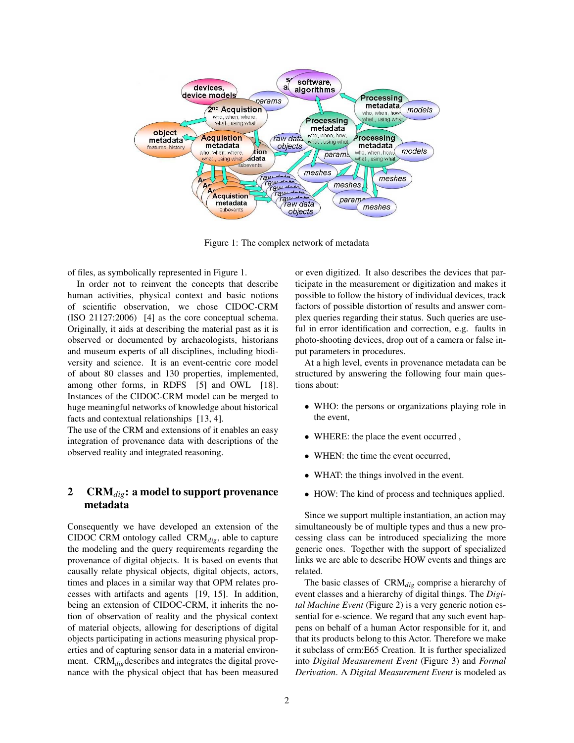

Figure 1: The complex network of metadata

of files, as symbolically represented in Figure 1.

In order not to reinvent the concepts that describe human activities, physical context and basic notions of scientific observation, we chose CIDOC-CRM (ISO 21127:2006) [4] as the core conceptual schema. Originally, it aids at describing the material past as it is observed or documented by archaeologists, historians and museum experts of all disciplines, including biodiversity and science. It is an event-centric core model of about 80 classes and 130 properties, implemented, among other forms, in RDFS [5] and OWL [18]. Instances of the CIDOC-CRM model can be merged to huge meaningful networks of knowledge about historical facts and contextual relationships [13, 4].

The use of the CRM and extensions of it enables an easy integration of provenance data with descriptions of the observed reality and integrated reasoning.

# 2 CRM*dig*: a model to support provenance metadata

Consequently we have developed an extension of the CIDOC CRM ontology called CRM*dig*, able to capture the modeling and the query requirements regarding the provenance of digital objects. It is based on events that causally relate physical objects, digital objects, actors, times and places in a similar way that OPM relates processes with artifacts and agents [19, 15]. In addition, being an extension of CIDOC-CRM, it inherits the notion of observation of reality and the physical context of material objects, allowing for descriptions of digital objects participating in actions measuring physical properties and of capturing sensor data in a material environment. CRM<sub>dig</sub>describes and integrates the digital provenance with the physical object that has been measured or even digitized. It also describes the devices that participate in the measurement or digitization and makes it possible to follow the history of individual devices, track factors of possible distortion of results and answer complex queries regarding their status. Such queries are useful in error identification and correction, e.g. faults in photo-shooting devices, drop out of a camera or false input parameters in procedures.

At a high level, events in provenance metadata can be structured by answering the following four main questions about:

- WHO: the persons or organizations playing role in the event,
- WHERE: the place the event occurred ,
- WHEN: the time the event occurred.
- WHAT: the things involved in the event.
- HOW: The kind of process and techniques applied.

Since we support multiple instantiation, an action may simultaneously be of multiple types and thus a new processing class can be introduced specializing the more generic ones. Together with the support of specialized links we are able to describe HOW events and things are related.

The basic classes of CRM*dig* comprise a hierarchy of event classes and a hierarchy of digital things. The *Digital Machine Event* (Figure 2) is a very generic notion essential for e-science. We regard that any such event happens on behalf of a human Actor responsible for it, and that its products belong to this Actor. Therefore we make it subclass of crm:E65 Creation. It is further specialized into *Digital Measurement Event* (Figure 3) and *Formal Derivation*. A *Digital Measurement Event* is modeled as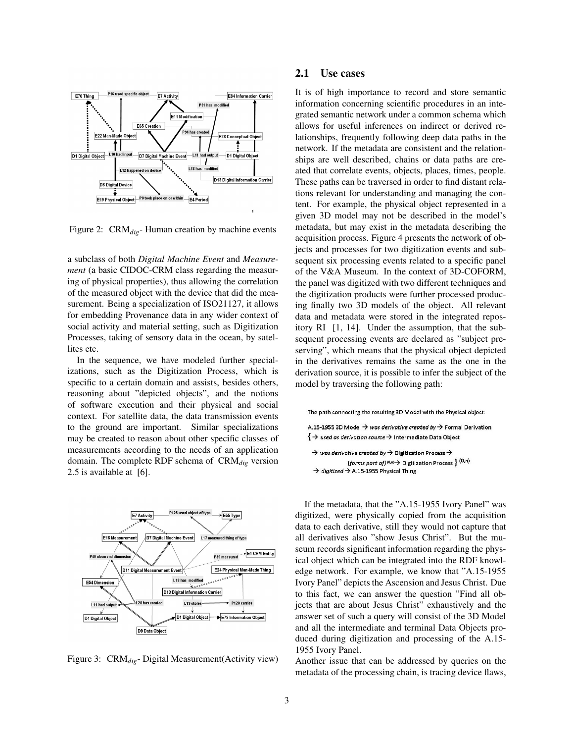

Figure 2: CRM*dig*- Human creation by machine events

a subclass of both *Digital Machine Event* and *Measurement* (a basic CIDOC-CRM class regarding the measuring of physical properties), thus allowing the correlation of the measured object with the device that did the measurement. Being a specialization of ISO21127, it allows for embedding Provenance data in any wider context of social activity and material setting, such as Digitization Processes, taking of sensory data in the ocean, by satellites etc.

In the sequence, we have modeled further specializations, such as the Digitization Process, which is specific to a certain domain and assists, besides others, reasoning about "depicted objects", and the notions of software execution and their physical and social context. For satellite data, the data transmission events to the ground are important. Similar specializations may be created to reason about other specific classes of measurements according to the needs of an application domain. The complete RDF schema of CRM*dig* version 2.5 is available at [6].



Figure 3: CRM*dig*- Digital Measurement(Activity view)

#### 2.1 Use cases

It is of high importance to record and store semantic information concerning scientific procedures in an integrated semantic network under a common schema which allows for useful inferences on indirect or derived relationships, frequently following deep data paths in the network. If the metadata are consistent and the relationships are well described, chains or data paths are created that correlate events, objects, places, times, people. These paths can be traversed in order to find distant relations relevant for understanding and managing the content. For example, the physical object represented in a given 3D model may not be described in the model's metadata, but may exist in the metadata describing the acquisition process. Figure 4 presents the network of objects and processes for two digitization events and subsequent six processing events related to a specific panel of the V&A Museum. In the context of 3D-COFORM, the panel was digitized with two different techniques and the digitization products were further processed producing finally two 3D models of the object. All relevant data and metadata were stored in the integrated repository RI [1, 14]. Under the assumption, that the subsequent processing events are declared as "subject preserving", which means that the physical object depicted in the derivatives remains the same as the one in the derivation source, it is possible to infer the subject of the model by traversing the following path:



If the metadata, that the "A.15-1955 Ivory Panel" was digitized, were physically copied from the acquisition data to each derivative, still they would not capture that all derivatives also "show Jesus Christ". But the museum records significant information regarding the physical object which can be integrated into the RDF knowledge network. For example, we know that "A.15-1955 Ivory Panel" depicts the Ascension and Jesus Christ. Due to this fact, we can answer the question "Find all objects that are about Jesus Christ" exhaustively and the answer set of such a query will consist of the 3D Model and all the intermediate and terminal Data Objects produced during digitization and processing of the A.15- 1955 Ivory Panel.

Another issue that can be addressed by queries on the metadata of the processing chain, is tracing device flaws,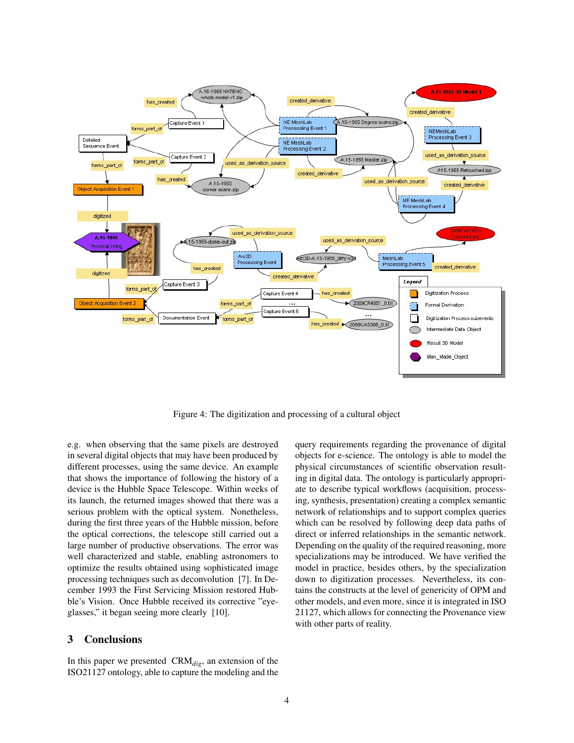

Figure 4: The digitization and processing of a cultural object

e.g. when observing that the same pixels are destroyed in several digital objects that may have been produced by different processes, using the same device. An example that shows the importance of following the history of a device is the Hubble Space Telescope. Within weeks of its launch, the returned images showed that there was a serious problem with the optical system. Nonetheless, during the first three years of the Hubble mission, before the optical corrections, the telescope still carried out a large number of productive observations. The error was well characterized and stable, enabling astronomers to optimize the results obtained using sophisticated image processing techniques such as deconvolution [7]. In December 1993 the First Servicing Mission restored Hubble's Vision. Once Hubble received its corrective "eyeglasses," it began seeing more clearly [10].

### 3 Conclusions

In this paper we presented CRM*dig*, an extension of the ISO21127 ontology, able to capture the modeling and the query requirements regarding the provenance of digital objects for e-science. The ontology is able to model the physical circumstances of scientific observation resulting in digital data. The ontology is particularly appropriate to describe typical workflows (acquisition, processing, synthesis, presentation) creating a complex semantic network of relationships and to support complex queries which can be resolved by following deep data paths of direct or inferred relationships in the semantic network. Depending on the quality of the required reasoning, more specializations may be introduced. We have verified the model in practice, besides others, by the specialization down to digitization processes. Nevertheless, its contains the constructs at the level of genericity of OPM and other models, and even more, since it is integrated in ISO 21127, which allows for connecting the Provenance view with other parts of reality.